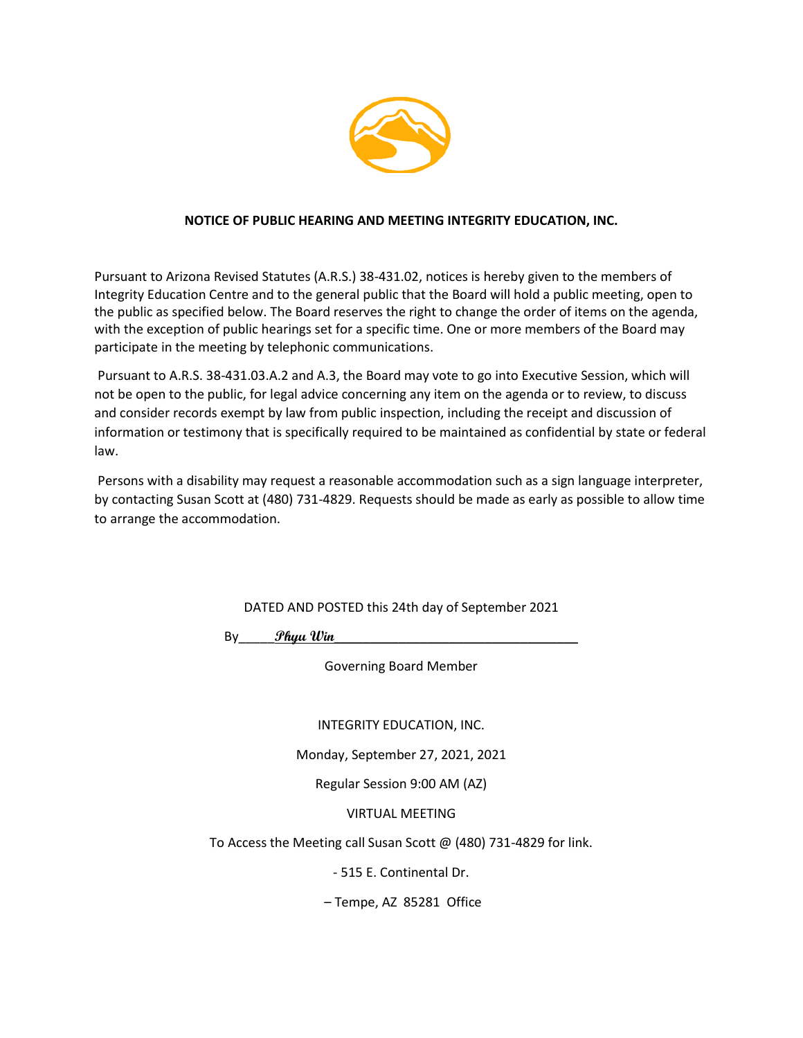

#### **NOTICE OF PUBLIC HEARING AND MEETING INTEGRITY EDUCATION, INC.**

Pursuant to Arizona Revised Statutes (A.R.S.) 38-431.02, notices is hereby given to the members of Integrity Education Centre and to the general public that the Board will hold a public meeting, open to the public as specified below. The Board reserves the right to change the order of items on the agenda, with the exception of public hearings set for a specific time. One or more members of the Board may participate in the meeting by telephonic communications.

Pursuant to A.R.S. 38-431.03.A.2 and A.3, the Board may vote to go into Executive Session, which will not be open to the public, for legal advice concerning any item on the agenda or to review, to discuss and consider records exempt by law from public inspection, including the receipt and discussion of information or testimony that is specifically required to be maintained as confidential by state or federal law.

Persons with a disability may request a reasonable accommodation such as a sign language interpreter, by contacting Susan Scott at (480) 731-4829. Requests should be made as early as possible to allow time to arrange the accommodation.

DATED AND POSTED this 24th day of September 2021

By\_\_\_\_\_**Phyu Win**\_\_\_\_\_\_\_\_\_\_\_\_\_\_\_\_\_\_\_\_\_\_\_\_\_\_\_\_\_\_\_\_\_\_

Governing Board Member

INTEGRITY EDUCATION, INC.

Monday, September 27, 2021, 2021

Regular Session 9:00 AM (AZ)

VIRTUAL MEETING

To Access the Meeting call Susan Scott @ (480) 731-4829 for link.

- 515 E. Continental Dr.

– Tempe, AZ 85281 Office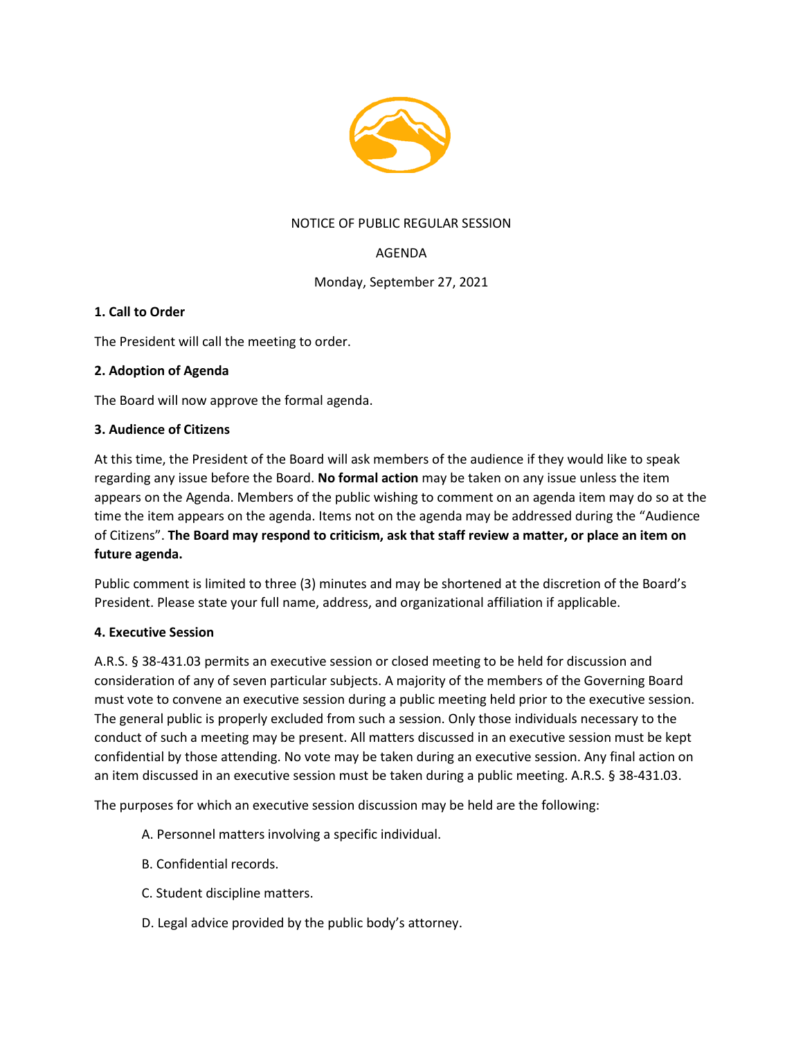

## NOTICE OF PUBLIC REGULAR SESSION

# AGENDA

Monday, September 27, 2021

## **1. Call to Order**

The President will call the meeting to order.

## **2. Adoption of Agenda**

The Board will now approve the formal agenda.

#### **3. Audience of Citizens**

At this time, the President of the Board will ask members of the audience if they would like to speak regarding any issue before the Board. **No formal action** may be taken on any issue unless the item appears on the Agenda. Members of the public wishing to comment on an agenda item may do so at the time the item appears on the agenda. Items not on the agenda may be addressed during the "Audience of Citizens". **The Board may respond to criticism, ask that staff review a matter, or place an item on future agenda.**

Public comment is limited to three (3) minutes and may be shortened at the discretion of the Board's President. Please state your full name, address, and organizational affiliation if applicable.

#### **4. Executive Session**

A.R.S. § 38-431.03 permits an executive session or closed meeting to be held for discussion and consideration of any of seven particular subjects. A majority of the members of the Governing Board must vote to convene an executive session during a public meeting held prior to the executive session. The general public is properly excluded from such a session. Only those individuals necessary to the conduct of such a meeting may be present. All matters discussed in an executive session must be kept confidential by those attending. No vote may be taken during an executive session. Any final action on an item discussed in an executive session must be taken during a public meeting. A.R.S. § 38-431.03.

The purposes for which an executive session discussion may be held are the following:

- A. Personnel matters involving a specific individual.
- B. Confidential records.
- C. Student discipline matters.
- D. Legal advice provided by the public body's attorney.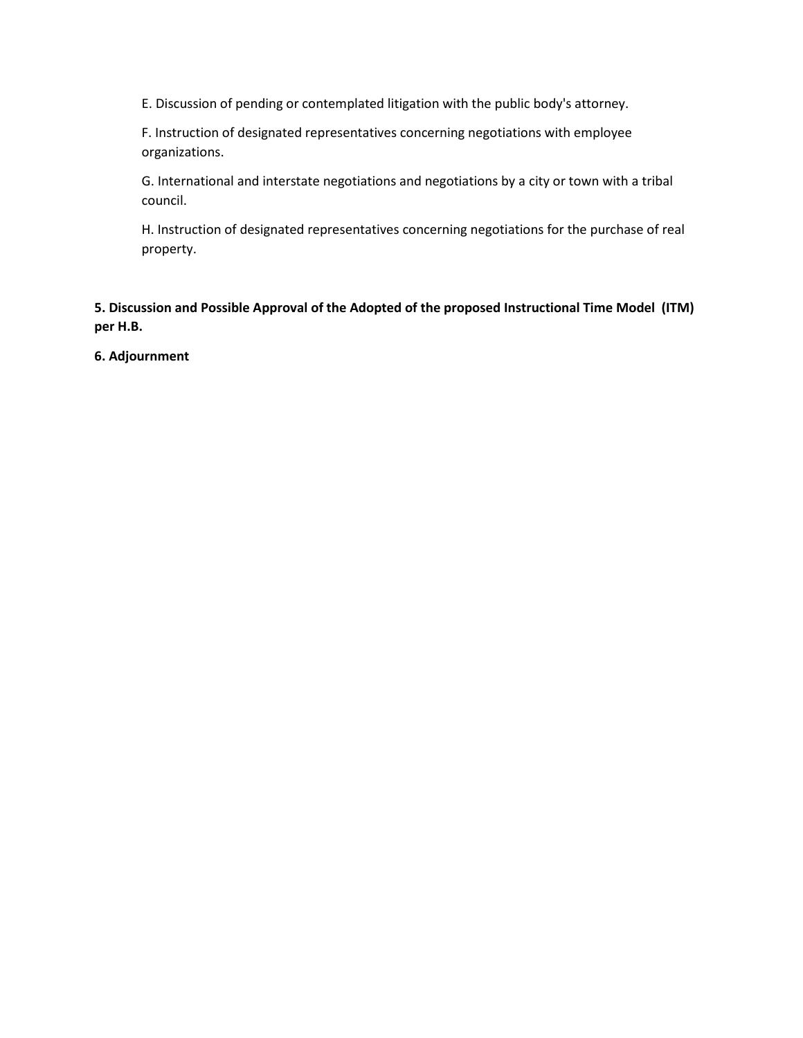E. Discussion of pending or contemplated litigation with the public body's attorney.

F. Instruction of designated representatives concerning negotiations with employee organizations.

G. International and interstate negotiations and negotiations by a city or town with a tribal council.

H. Instruction of designated representatives concerning negotiations for the purchase of real property.

**5. Discussion and Possible Approval of the Adopted of the proposed Instructional Time Model (ITM) per H.B.** 

**6. Adjournment**